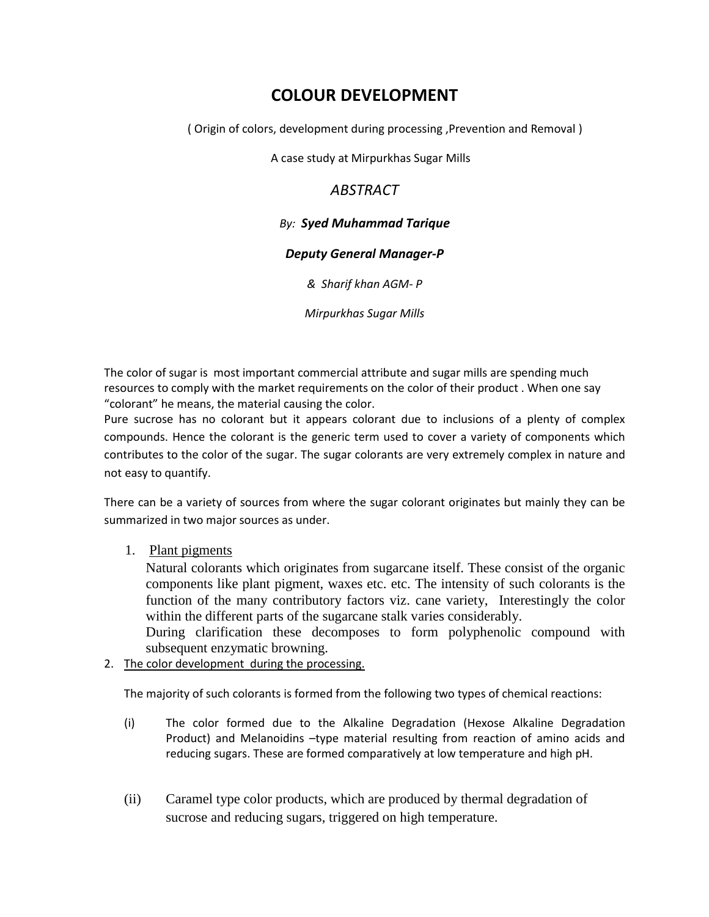# **COLOUR DEVELOPMENT**

( Origin of colors, development during processing ,Prevention and Removal )

A case study at Mirpurkhas Sugar Mills

## *ABSTRACT*

## *By: Syed Muhammad Tarique*

## *Deputy General Manager-P*

*& Sharif khan AGM- P*

*Mirpurkhas Sugar Mills*

The color of sugar is most important commercial attribute and sugar mills are spending much resources to comply with the market requirements on the color of their product . When one say "colorant" he means, the material causing the color.

Pure sucrose has no colorant but it appears colorant due to inclusions of a plenty of complex compounds. Hence the colorant is the generic term used to cover a variety of components which contributes to the color of the sugar. The sugar colorants are very extremely complex in nature and not easy to quantify.

There can be a variety of sources from where the sugar colorant originates but mainly they can be summarized in two major sources as under.

## 1. Plant pigments

Natural colorants which originates from sugarcane itself. These consist of the organic components like plant pigment, waxes etc. etc. The intensity of such colorants is the function of the many contributory factors viz. cane variety, Interestingly the color within the different parts of the sugarcane stalk varies considerably.

During clarification these decomposes to form polyphenolic compound with subsequent enzymatic browning.

2. The color development during the processing.

The majority of such colorants is formed from the following two types of chemical reactions:

- (i) The color formed due to the Alkaline Degradation (Hexose Alkaline Degradation Product) and Melanoidins -type material resulting from reaction of amino acids and reducing sugars. These are formed comparatively at low temperature and high pH.
- (ii) Caramel type color products, which are produced by thermal degradation of sucrose and reducing sugars, triggered on high temperature.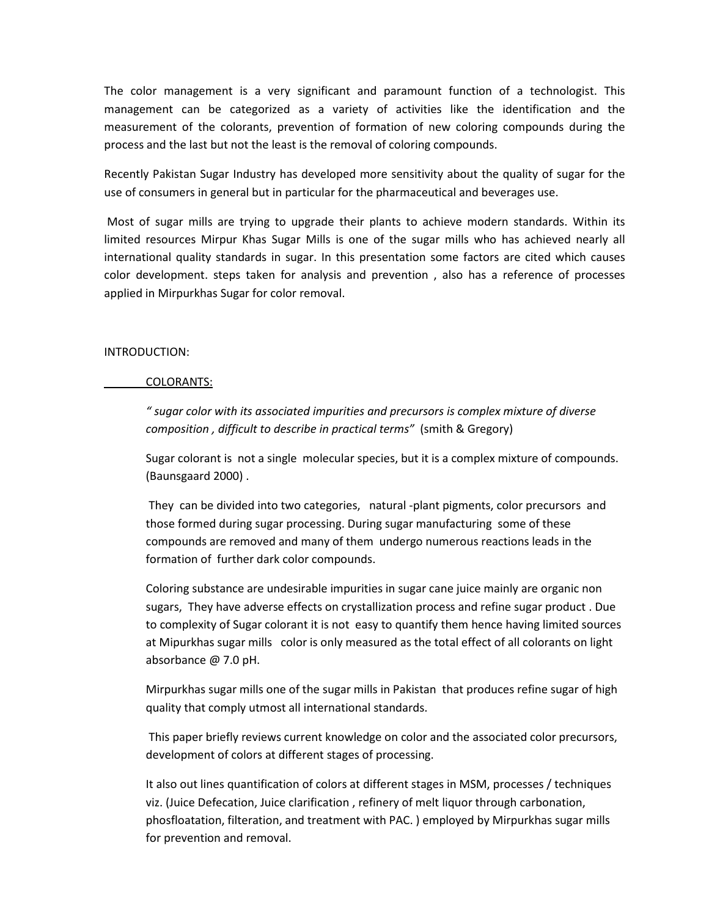The color management is a very significant and paramount function of a technologist. This management can be categorized as a variety of activities like the identification and the measurement of the colorants, prevention of formation of new coloring compounds during the process and the last but not the least is the removal of coloring compounds.

Recently Pakistan Sugar Industry has developed more sensitivity about the quality of sugar for the use of consumers in general but in particular for the pharmaceutical and beverages use.

Most of sugar mills are trying to upgrade their plants to achieve modern standards. Within its limited resources Mirpur Khas Sugar Mills is one of the sugar mills who has achieved nearly all international quality standards in sugar. In this presentation some factors are cited which causes color development. steps taken for analysis and prevention , also has a reference of processes applied in Mirpurkhas Sugar for color removal.

### INTRODUCTION:

#### COLORANTS:

*" sugar color with its associated impurities and precursors is complex mixture of diverse composition , difficult to describe in practical terms"* (smith & Gregory)

Sugar colorant is not a single molecular species, but it is a complex mixture of compounds. (Baunsgaard 2000) .

They can be divided into two categories, natural -plant pigments, color precursors and those formed during sugar processing. During sugar manufacturing some of these compounds are removed and many of them undergo numerous reactions leads in the formation of further dark color compounds.

Coloring substance are undesirable impurities in sugar cane juice mainly are organic non sugars, They have adverse effects on crystallization process and refine sugar product . Due to complexity of Sugar colorant it is not easy to quantify them hence having limited sources at Mipurkhas sugar mills color is only measured as the total effect of all colorants on light absorbance @ 7.0 pH.

Mirpurkhas sugar mills one of the sugar mills in Pakistan that produces refine sugar of high quality that comply utmost all international standards.

This paper briefly reviews current knowledge on color and the associated color precursors, development of colors at different stages of processing.

It also out lines quantification of colors at different stages in MSM, processes / techniques viz. (Juice Defecation, Juice clarification , refinery of melt liquor through carbonation, phosfloatation, filteration, and treatment with PAC. ) employed by Mirpurkhas sugar mills for prevention and removal.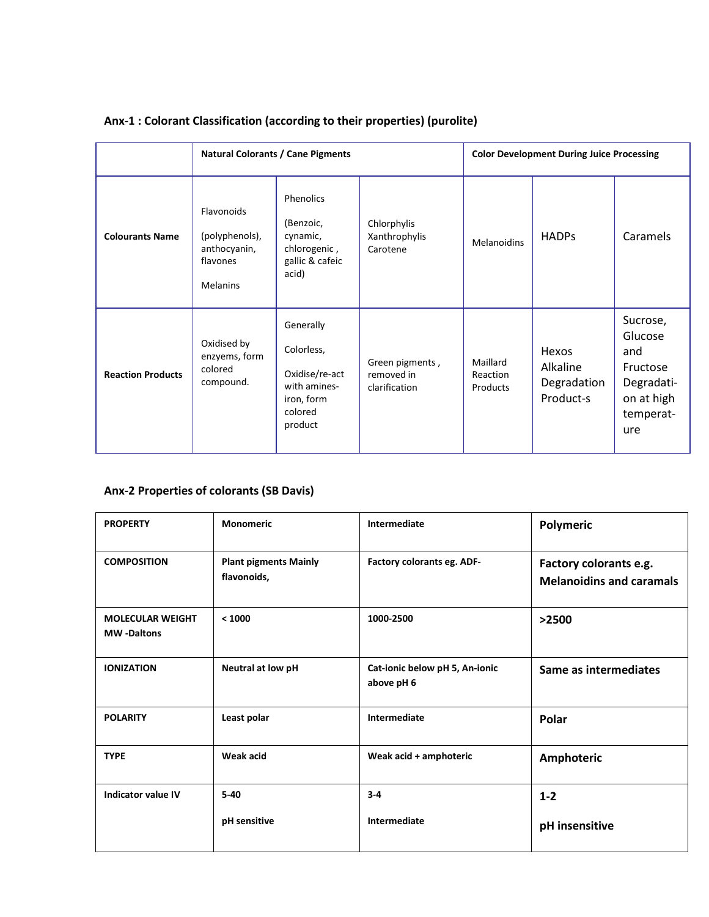|                          | <b>Natural Colorants / Cane Pigments</b>                                    |                                                                                               |                                                | <b>Color Development During Juice Processing</b> |                                               |                                                                                        |
|--------------------------|-----------------------------------------------------------------------------|-----------------------------------------------------------------------------------------------|------------------------------------------------|--------------------------------------------------|-----------------------------------------------|----------------------------------------------------------------------------------------|
| <b>Colourants Name</b>   | Flavonoids<br>(polyphenols),<br>anthocyanin,<br>flavones<br><b>Melanins</b> | Phenolics<br>(Benzoic,<br>cynamic,<br>chlorogenic,<br>gallic & cafeic<br>acid)                | Chlorphylis<br>Xanthrophylis<br>Carotene       | <b>Melanoidins</b>                               | <b>HADPs</b>                                  | Caramels                                                                               |
| <b>Reaction Products</b> | Oxidised by<br>enzyems, form<br>colored<br>compound.                        | Generally<br>Colorless,<br>Oxidise/re-act<br>with amines-<br>iron, form<br>colored<br>product | Green pigments,<br>removed in<br>clarification | Maillard<br>Reaction<br>Products                 | Hexos<br>Alkaline<br>Degradation<br>Product-s | Sucrose,<br>Glucose<br>and<br>Fructose<br>Degradati-<br>on at high<br>temperat-<br>ure |

## **Anx-1 : Colorant Classification (according to their properties) (purolite)**

## **Anx-2 Properties of colorants (SB Davis)**

| <b>PROPERTY</b>                              | <b>Monomeric</b>                            | Intermediate<br>Polymeric                    |                                                           |
|----------------------------------------------|---------------------------------------------|----------------------------------------------|-----------------------------------------------------------|
| <b>COMPOSITION</b>                           | <b>Plant pigments Mainly</b><br>flavonoids, | Factory colorants eg. ADF-                   | Factory colorants e.g.<br><b>Melanoidins and caramals</b> |
| <b>MOLECULAR WEIGHT</b><br><b>MW-Daltons</b> | < 1000                                      | 1000-2500                                    | >2500                                                     |
| <b>IONIZATION</b>                            | Neutral at low pH                           | Cat-ionic below pH 5, An-ionic<br>above pH 6 | Same as intermediates                                     |
| <b>POLARITY</b>                              | Least polar                                 | Intermediate                                 | Polar                                                     |
| <b>TYPE</b>                                  | Weak acid                                   | Weak acid + amphoteric                       | Amphoteric                                                |
| Indicator value IV                           | $5 - 40$<br>pH sensitive                    | $3 - 4$<br>Intermediate                      | $1 - 2$<br>pH insensitive                                 |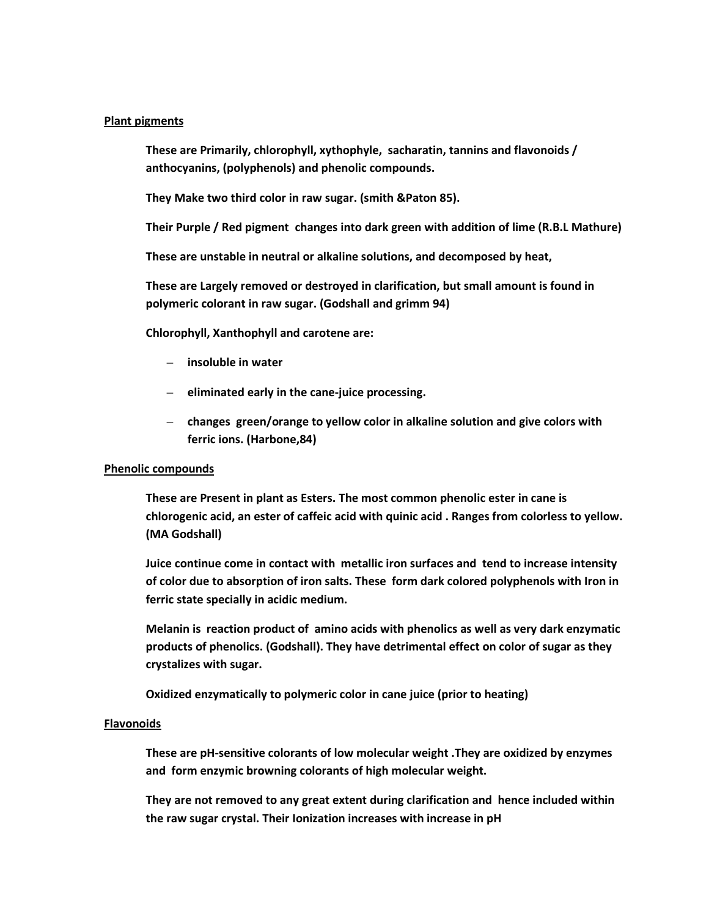#### **Plant pigments**

**These are Primarily, chlorophyll, xythophyle, sacharatin, tannins and flavonoids / anthocyanins, (polyphenols) and phenolic compounds.** 

**They Make two third color in raw sugar. (smith &Paton 85).** 

**Their Purple / Red pigment changes into dark green with addition of lime (R.B.L Mathure)**

**These are unstable in neutral or alkaline solutions, and decomposed by heat,**

**These are Largely removed or destroyed in clarification, but small amount is found in polymeric colorant in raw sugar. (Godshall and grimm 94)**

**Chlorophyll, Xanthophyll and carotene are:**

- **insoluble in water**
- **eliminated early in the cane-juice processing.**
- **changes green/orange to yellow color in alkaline solution and give colors with ferric ions. (Harbone,84)**

#### **Phenolic compounds**

**These are Present in plant as Esters. The most common phenolic ester in cane is chlorogenic acid, an ester of caffeic acid with quinic acid . Ranges from colorless to yellow. (MA Godshall)**

**Juice continue come in contact with metallic iron surfaces and tend to increase intensity of color due to absorption of iron salts. These form dark colored polyphenols with Iron in ferric state specially in acidic medium.**

**Melanin is reaction product of amino acids with phenolics as well as very dark enzymatic products of phenolics. (Godshall). They have detrimental effect on color of sugar as they crystalizes with sugar.**

**Oxidized enzymatically to polymeric color in cane juice (prior to heating)** 

#### **Flavonoids**

**These are pH-sensitive colorants of low molecular weight .They are oxidized by enzymes and form enzymic browning colorants of high molecular weight.** 

**They are not removed to any great extent during clarification and hence included within the raw sugar crystal. Their Ionization increases with increase in pH**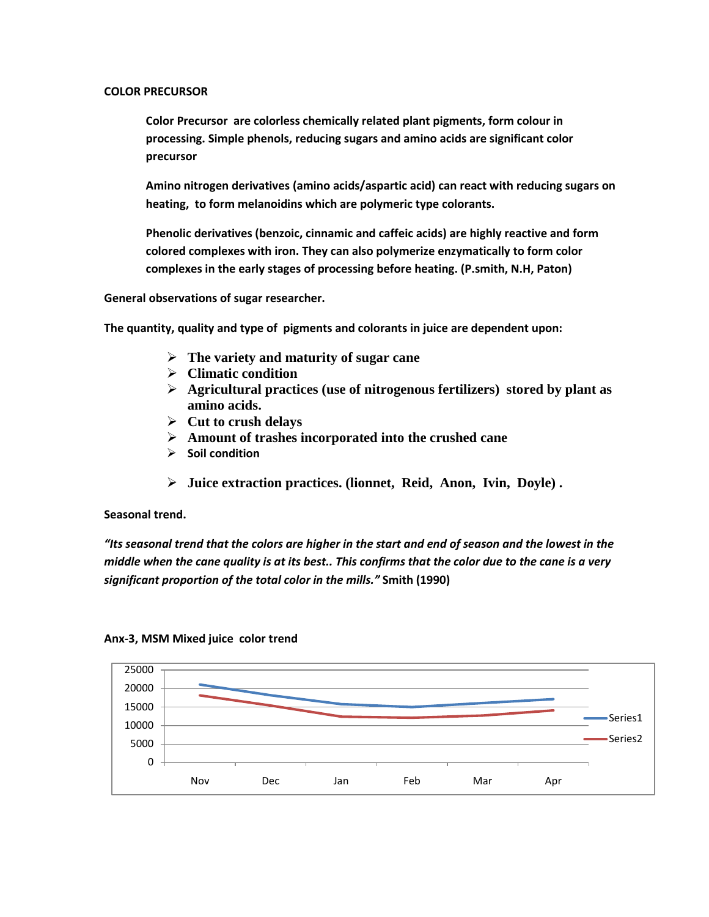### **COLOR PRECURSOR**

**Color Precursor are colorless chemically related plant pigments, form colour in processing. Simple phenols, reducing sugars and amino acids are significant color precursor** 

**Amino nitrogen derivatives (amino acids/aspartic acid) can react with reducing sugars on heating, to form melanoidins which are polymeric type colorants.** 

**Phenolic derivatives (benzoic, cinnamic and caffeic acids) are highly reactive and form colored complexes with iron. They can also polymerize enzymatically to form color complexes in the early stages of processing before heating. (P.smith, N.H, Paton)** 

**General observations of sugar researcher.**

**The quantity, quality and type of pigments and colorants in juice are dependent upon:**

- **The variety and maturity of sugar cane**
- **Climatic condition**
- **Agricultural practices (use of nitrogenous fertilizers) stored by plant as amino acids.**
- **Cut to crush delays**
- **Amount of trashes incorporated into the crushed cane**
- **Soil condition**
- **Juice extraction practices. (lionnet, Reid, Anon, Ivin, Doyle) .**

**Seasonal trend.**

*"Its seasonal trend that the colors are higher in the start and end of season and the lowest in the middle when the cane quality is at its best.. This confirms that the color due to the cane is a very significant proportion of the total color in the mills."* **Smith (1990)** 



#### **Anx-3, MSM Mixed juice color trend**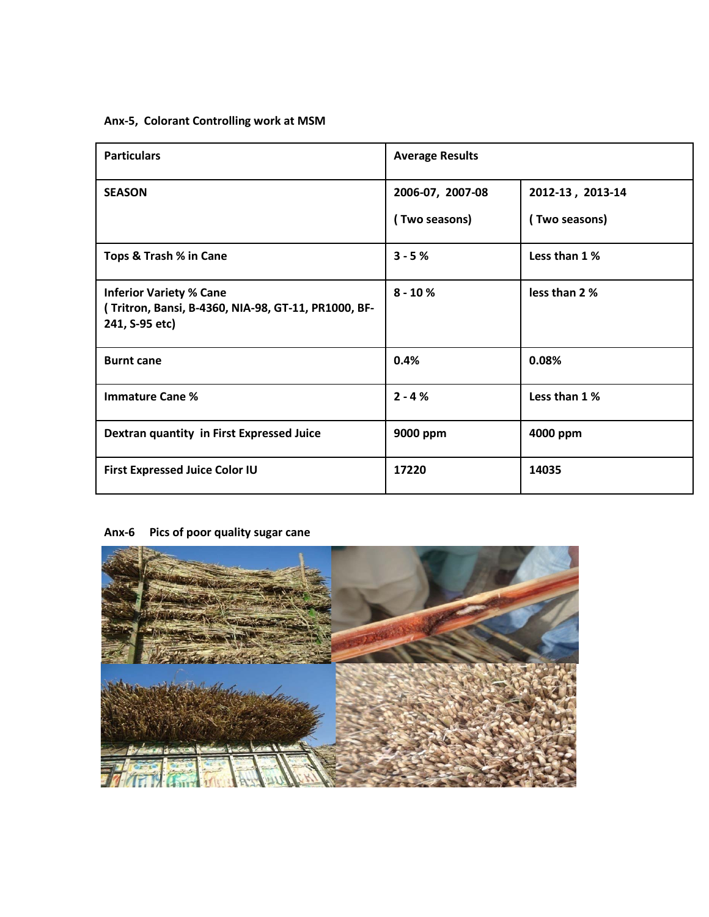## **Anx-5, Colorant Controlling work at MSM**

| <b>Particulars</b>                                                                                      | <b>Average Results</b> |                  |
|---------------------------------------------------------------------------------------------------------|------------------------|------------------|
| <b>SEASON</b>                                                                                           | 2006-07, 2007-08       | 2012-13, 2013-14 |
|                                                                                                         | (Two seasons)          | (Two seasons)    |
| Tops & Trash % in Cane                                                                                  | $3 - 5%$               | Less than 1 %    |
| <b>Inferior Variety % Cane</b><br>(Tritron, Bansi, B-4360, NIA-98, GT-11, PR1000, BF-<br>241, S-95 etc) | $8 - 10%$              | less than 2 %    |
| <b>Burnt cane</b>                                                                                       | 0.4%                   | 0.08%            |
| <b>Immature Cane %</b>                                                                                  | $2 - 4%$               | Less than 1 %    |
| Dextran quantity in First Expressed Juice                                                               | 9000 ppm               | 4000 ppm         |
| <b>First Expressed Juice Color IU</b>                                                                   | 17220                  | 14035            |

# **Anx-6 Pics of poor quality sugar cane**

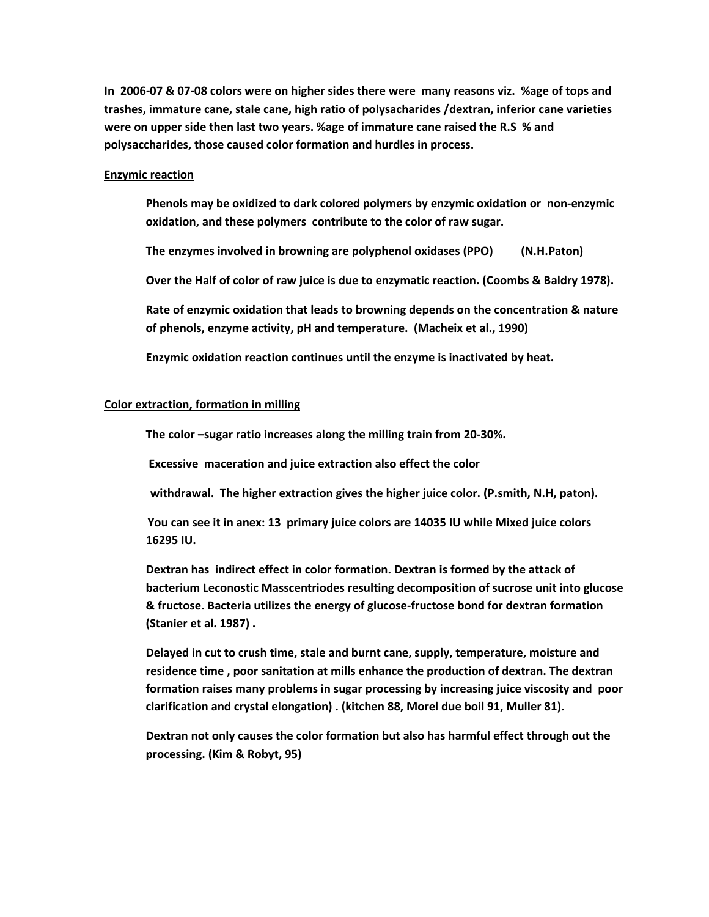**In 2006-07 & 07-08 colors were on higher sides there were many reasons viz. %age of tops and trashes, immature cane, stale cane, high ratio of polysacharides /dextran, inferior cane varieties were on upper side then last two years. %age of immature cane raised the R.S % and polysaccharides, those caused color formation and hurdles in process.**

#### **Enzymic reaction**

**Phenols may be oxidized to dark colored polymers by enzymic oxidation or non-enzymic oxidation, and these polymers contribute to the color of raw sugar.** 

**The enzymes involved in browning are polyphenol oxidases (PPO) (N.H.Paton)**

**Over the Half of color of raw juice is due to enzymatic reaction. (Coombs & Baldry 1978).** 

**Rate of enzymic oxidation that leads to browning depends on the concentration & nature of phenols, enzyme activity, pH and temperature. (Macheix et al., 1990)**

**Enzymic oxidation reaction continues until the enzyme is inactivated by heat.** 

#### **Color extraction, formation in milling**

**The color –sugar ratio increases along the milling train from 20-30%.** 

**Excessive maceration and juice extraction also effect the color**

 **withdrawal. The higher extraction gives the higher juice color. (P.smith, N.H, paton).**

**You can see it in anex: 13 primary juice colors are 14035 IU while Mixed juice colors 16295 IU.**

**Dextran has indirect effect in color formation. Dextran is formed by the attack of bacterium Leconostic Masscentriodes resulting decomposition of sucrose unit into glucose & fructose. Bacteria utilizes the energy of glucose-fructose bond for dextran formation (Stanier et al. 1987) .** 

**Delayed in cut to crush time, stale and burnt cane, supply, temperature, moisture and residence time , poor sanitation at mills enhance the production of dextran. The dextran formation raises many problems in sugar processing by increasing juice viscosity and poor clarification and crystal elongation) . (kitchen 88, Morel due boil 91, Muller 81).**

**Dextran not only causes the color formation but also has harmful effect through out the processing. (Kim & Robyt, 95)**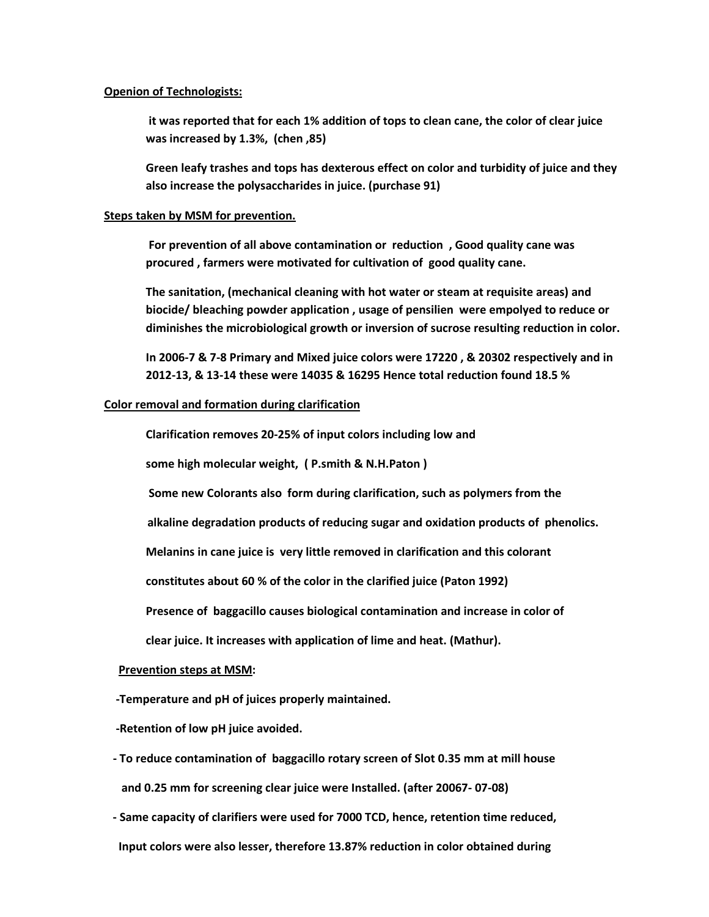#### **Openion of Technologists:**

**it was reported that for each 1% addition of tops to clean cane, the color of clear juice was increased by 1.3%, (chen ,85)**

**Green leafy trashes and tops has dexterous effect on color and turbidity of juice and they also increase the polysaccharides in juice. (purchase 91)**

#### **Steps taken by MSM for prevention.**

**For prevention of all above contamination or reduction , Good quality cane was procured , farmers were motivated for cultivation of good quality cane.** 

**The sanitation, (mechanical cleaning with hot water or steam at requisite areas) and biocide/ bleaching powder application , usage of pensilien were empolyed to reduce or diminishes the microbiological growth or inversion of sucrose resulting reduction in color.**

**In 2006-7 & 7-8 Primary and Mixed juice colors were 17220 , & 20302 respectively and in 2012-13, & 13-14 these were 14035 & 16295 Hence total reduction found 18.5 %**

#### **Color removal and formation during clarification**

**Clarification removes 20-25% of input colors including low and** 

**some high molecular weight, ( P.smith & N.H.Paton )** 

**Some new Colorants also form during clarification, such as polymers from the**

 **alkaline degradation products of reducing sugar and oxidation products of phenolics.**

**Melanins in cane juice is very little removed in clarification and this colorant** 

 **constitutes about 60 % of the color in the clarified juice (Paton 1992)**

**Presence of baggacillo causes biological contamination and increase in color of** 

 **clear juice. It increases with application of lime and heat. (Mathur).** 

#### **Prevention steps at MSM :**

 **-Temperature and pH of juices properly maintained.** 

 **-Retention of low pH juice avoided.** 

- **- To reduce contamination of baggacillo rotary screen of Slot 0.35 mm at mill house and 0.25 mm for screening clear juice were Installed. (after 20067- 07-08)**
- **- Same capacity of clarifiers were used for 7000 TCD, hence, retention time reduced,**

 **Input colors were also lesser, therefore 13.87% reduction in color obtained during**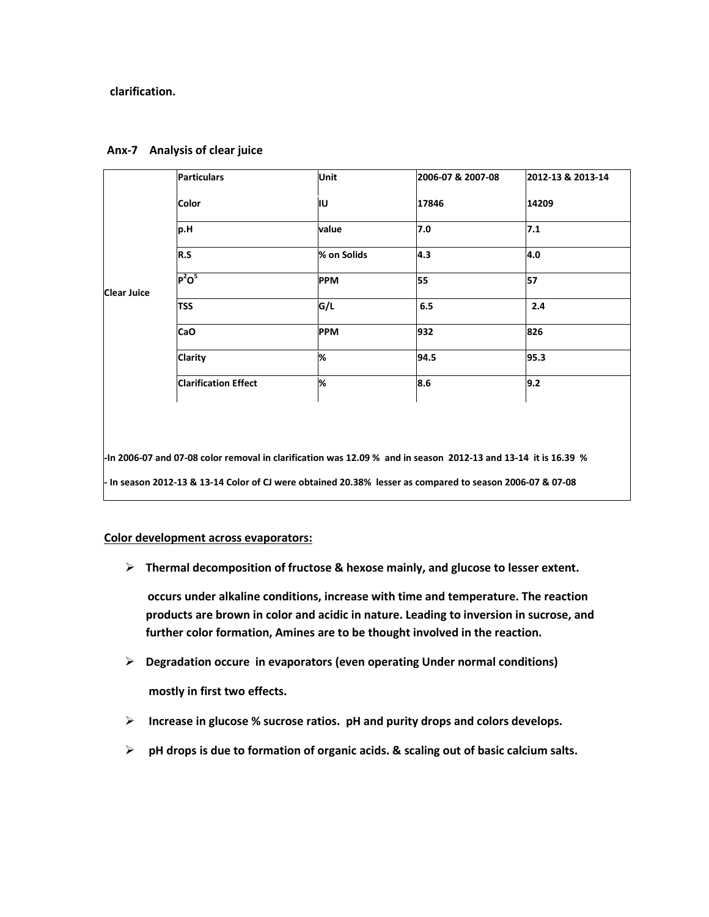### **clarification.**

|                    | <b>Particulars</b>          | Unit        | 2006-07 & 2007-08 | 2012-13 & 2013-14 |
|--------------------|-----------------------------|-------------|-------------------|-------------------|
|                    | <b>Color</b>                | lιυ         | 17846             | 14209             |
|                    | p.H                         | value       | 7.0               | 7.1               |
|                    | R.S                         | % on Solids | 4.3               | 4.0               |
| <b>Clear Juice</b> | $P^2O^5$                    | <b>PPM</b>  | 55                | 57                |
|                    | <b>TSS</b>                  | G/L         | 6.5               | 2.4               |
|                    | <b>CaO</b>                  | <b>PPM</b>  | 932               | 826               |
|                    | <b>Clarity</b>              | 1%          | 94.5              | 95.3              |
|                    | <b>Clarification Effect</b> | %           | 8.6               | 9.2               |

### **Anx-7 Analysis of clear juice**

**-In 2006-07 and 07-08 color removal in clarification was 12.09 % and in season 2012-13 and 13-14 it is 16.39 % - In season 2012-13 & 13-14 Color of CJ were obtained 20.38% lesser as compared to season 2006-07 & 07-08** 

### **Color development across evaporators:**

**Thermal decomposition of fructose & hexose mainly, and glucose to lesser extent.**

**occurs under alkaline conditions, increase with time and temperature. The reaction products are brown in color and acidic in nature. Leading to inversion in sucrose, and further color formation, Amines are to be thought involved in the reaction.**

**Degradation occure in evaporators (even operating Under normal conditions)** 

 **mostly in first two effects.** 

- **Increase in glucose % sucrose ratios. pH and purity drops and colors develops.**
- **pH drops is due to formation of organic acids. & scaling out of basic calcium salts.**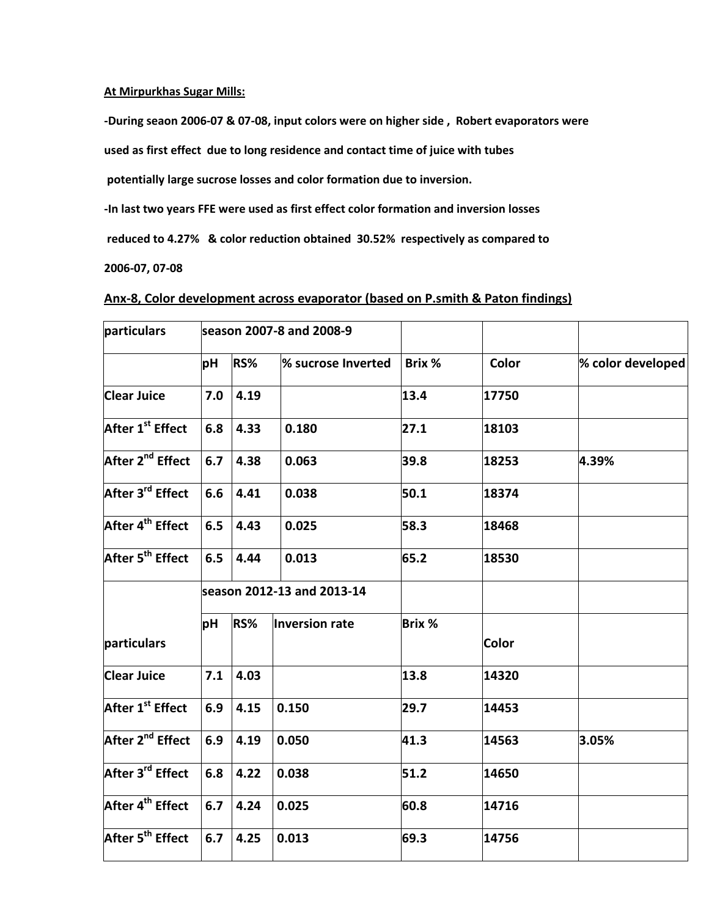### **At Mirpurkhas Sugar Mills:**

**-During seaon 2006-07 & 07-08, input colors were on higher side , Robert evaporators were** 

**used as first effect due to long residence and contact time of juice with tubes**

**potentially large sucrose losses and color formation due to inversion.**

**-In last two years FFE were used as first effect color formation and inversion losses**

**reduced to 4.27% & color reduction obtained 30.52% respectively as compared to** 

**2006-07, 07-08** 

### **Anx-8, Color development across evaporator (based on P.smith & Paton findings)**

| particulars                  | season 2007-8 and 2008-9 |      |                            |               |              |                   |
|------------------------------|--------------------------|------|----------------------------|---------------|--------------|-------------------|
|                              | рH                       | RS%  | % sucrose Inverted         | Brix %        | Color        | % color developed |
| <b>Clear Juice</b>           | 7.0                      | 4.19 |                            | 13.4          | 17750        |                   |
| After 1 <sup>st</sup> Effect | 6.8                      | 4.33 | 0.180                      | 27.1          | 18103        |                   |
| After 2 <sup>nd</sup> Effect | 6.7                      | 4.38 | 0.063                      | 39.8          | 18253        | 4.39%             |
| After 3 <sup>rd</sup> Effect | 6.6                      | 4.41 | 0.038                      | 50.1          | 18374        |                   |
| After 4 <sup>th</sup> Effect | 6.5                      | 4.43 | 0.025                      | 58.3          | 18468        |                   |
| After 5 <sup>th</sup> Effect | 6.5                      | 4.44 | 0.013                      | 65.2          | 18530        |                   |
|                              |                          |      | season 2012-13 and 2013-14 |               |              |                   |
| particulars                  | рH                       | RS%  | Inversion rate             | <b>Brix %</b> | <b>Color</b> |                   |
| <b>Clear Juice</b>           | 7.1                      | 4.03 |                            | 13.8          | 14320        |                   |
| After 1 <sup>st</sup> Effect | 6.9                      | 4.15 | 0.150                      | 29.7          | 14453        |                   |
| After 2 <sup>nd</sup> Effect | 6.9                      | 4.19 | 0.050                      | 41.3          | 14563        | 3.05%             |
| After 3 <sup>rd</sup> Effect | 6.8                      | 4.22 | 0.038                      | 51.2          | 14650        |                   |
| After 4 <sup>th</sup> Effect | 6.7                      | 4.24 | 0.025                      | 60.8          | 14716        |                   |
| After 5 <sup>th</sup> Effect | 6.7                      | 4.25 | 0.013                      | 69.3          | 14756        |                   |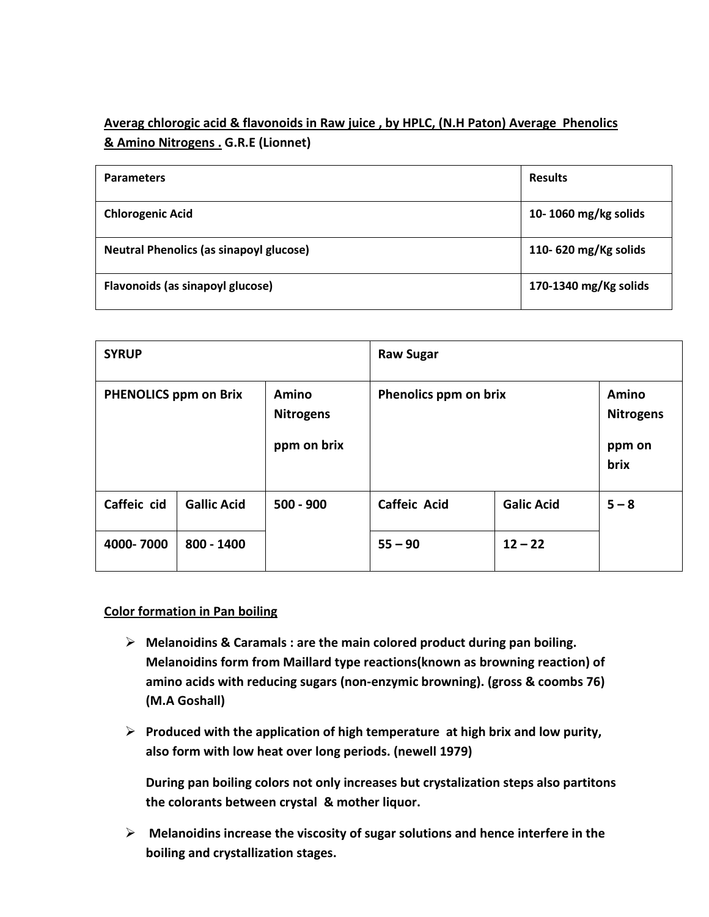# **Averag chlorogic acid & flavonoids in Raw juice , by HPLC, (N.H Paton) Average Phenolics & Amino Nitrogens . G.R.E (Lionnet)**

| <b>Parameters</b>                              | <b>Results</b>        |
|------------------------------------------------|-----------------------|
| <b>Chlorogenic Acid</b>                        | 10-1060 mg/kg solids  |
| <b>Neutral Phenolics (as sinapoyl glucose)</b> | 110-620 mg/Kg solids  |
| Flavonoids (as sinapoyl glucose)               | 170-1340 mg/Kg solids |

| <b>SYRUP</b>                 |                    |                                                 | <b>Raw Sugar</b>      |                   |                                                    |
|------------------------------|--------------------|-------------------------------------------------|-----------------------|-------------------|----------------------------------------------------|
| <b>PHENOLICS ppm on Brix</b> |                    | <b>Amino</b><br><b>Nitrogens</b><br>ppm on brix | Phenolics ppm on brix |                   | <b>Amino</b><br><b>Nitrogens</b><br>ppm on<br>brix |
| Caffeic cid                  | <b>Gallic Acid</b> | $500 - 900$                                     | <b>Caffeic Acid</b>   | <b>Galic Acid</b> | $5 - 8$                                            |
| 4000-7000                    | 800 - 1400         |                                                 | $55 - 90$             | $12 - 22$         |                                                    |

## **Color formation in Pan boiling**

- **Melanoidins & Caramals : are the main colored product during pan boiling. Melanoidins form from Maillard type reactions(known as browning reaction) of amino acids with reducing sugars (non-enzymic browning). (gross & coombs 76) (M.A Goshall)**
- **Produced with the application of high temperature at high brix and low purity, also form with low heat over long periods. (newell 1979)**

**During pan boiling colors not only increases but crystalization steps also partitons the colorants between crystal & mother liquor.** 

 **Melanoidins increase the viscosity of sugar solutions and hence interfere in the boiling and crystallization stages.**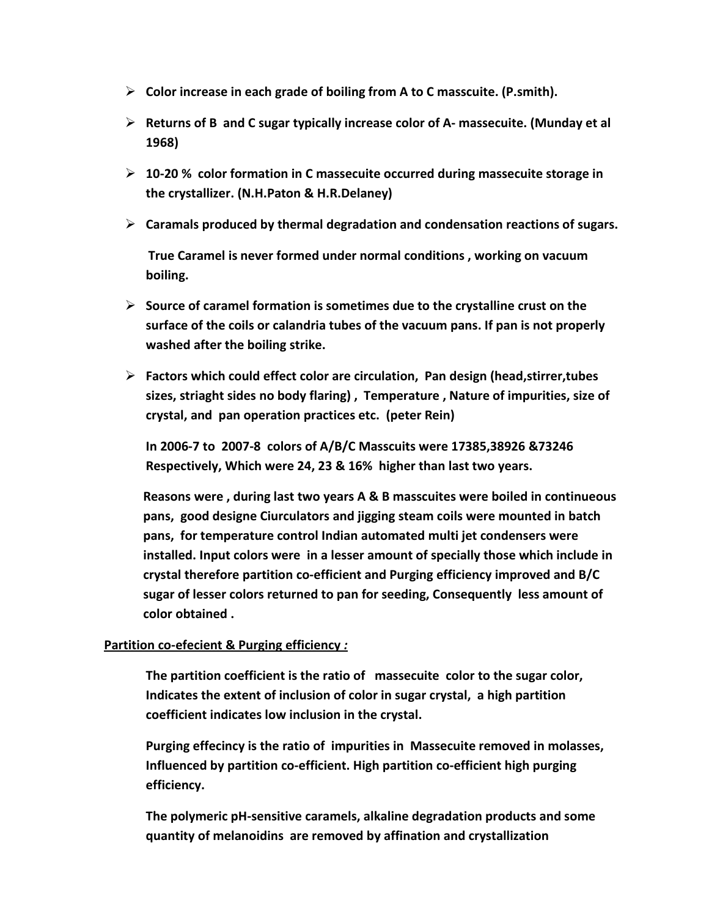- **Color increase in each grade of boiling from A to C masscuite. (P.smith).**
- **Returns of B and C sugar typically increase color of A- massecuite. (Munday et al 1968)**
- **10-20 % color formation in C massecuite occurred during massecuite storage in the crystallizer. (N.H.Paton & H.R.Delaney)**
- **Caramals produced by thermal degradation and condensation reactions of sugars.**

 **True Caramel is never formed under normal conditions , working on vacuum boiling.**

- **Source of caramel formation is sometimes due to the crystalline crust on the surface of the coils or calandria tubes of the vacuum pans. If pan is not properly washed after the boiling strike.**
- **Factors which could effect color are circulation, Pan design (head,stirrer,tubes sizes, striaght sides no body flaring) , Temperature , Nature of impurities, size of crystal, and pan operation practices etc. (peter Rein)**

**In 2006-7 to 2007-8 colors of A/B/C Masscuits were 17385,38926 &73246 Respectively, Which were 24, 23 & 16% higher than last two years.** 

**Reasons were , during last two years A & B masscuites were boiled in continueous pans, good designe Ciurculators and jigging steam coils were mounted in batch pans, for temperature control Indian automated multi jet condensers were installed. Input colors were in a lesser amount of specially those which include in crystal therefore partition co-efficient and Purging efficiency improved and B/C sugar of lesser colors returned to pan for seeding, Consequently less amount of color obtained .** 

## **Partition co-efecient & Purging efficiency** *:*

**The partition coefficient is the ratio of massecuite color to the sugar color, Indicates the extent of inclusion of color in sugar crystal, a high partition coefficient indicates low inclusion in the crystal.** 

**Purging effecincy is the ratio of impurities in Massecuite removed in molasses, Influenced by partition co-efficient. High partition co-efficient high purging efficiency.**

**The polymeric pH-sensitive caramels, alkaline degradation products and some quantity of melanoidins are removed by affination and crystallization**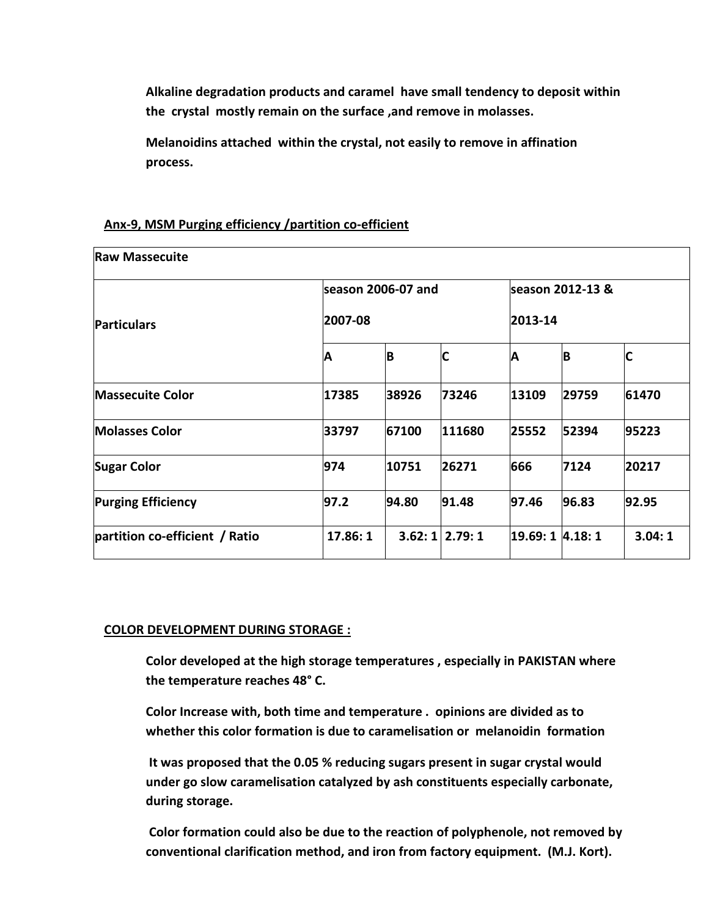**Alkaline degradation products and caramel have small tendency to deposit within the crystal mostly remain on the surface ,and remove in molasses.** 

**Melanoidins attached within the crystal, not easily to remove in affination process.** 

| <b>Raw Massecuite</b>          |                    |       |                  |                  |         |        |  |
|--------------------------------|--------------------|-------|------------------|------------------|---------|--------|--|
|                                | season 2006-07 and |       | season 2012-13 & |                  |         |        |  |
| <b>Particulars</b>             | 2007-08            |       |                  |                  | 2013-14 |        |  |
|                                | Α                  | ΙB    | C                | A                | B       | C      |  |
| <b>Massecuite Color</b>        | 17385              | 38926 | 73246            | 13109            | 29759   | 61470  |  |
| <b>Molasses Color</b>          | 33797              | 67100 | 111680           | 25552            | 52394   | 95223  |  |
| <b>Sugar Color</b>             | 974                | 10751 | 26271            | 666              | 7124    | 20217  |  |
| <b>Purging Efficiency</b>      | 97.2               | 94.80 | 91.48            | 97.46            | 96.83   | 92.95  |  |
| partition co-efficient / Ratio | 17.86: 1           |       | $3.62:1$ 2.79: 1 | 19.69: 1 4.18: 1 |         | 3.04:1 |  |

## **Anx-9, MSM Purging efficiency /partition co-efficient**

### **COLOR DEVELOPMENT DURING STORAGE :**

**Color developed at the high storage temperatures , especially in PAKISTAN where the temperature reaches 48° C.** 

**Color Increase with, both time and temperature . opinions are divided as to whether this color formation is due to caramelisation or melanoidin formation** 

**It was proposed that the 0.05 % reducing sugars present in sugar crystal would under go slow caramelisation catalyzed by ash constituents especially carbonate, during storage.**

**Color formation could also be due to the reaction of polyphenole, not removed by conventional clarification method, and iron from factory equipment. (M.J. Kort).**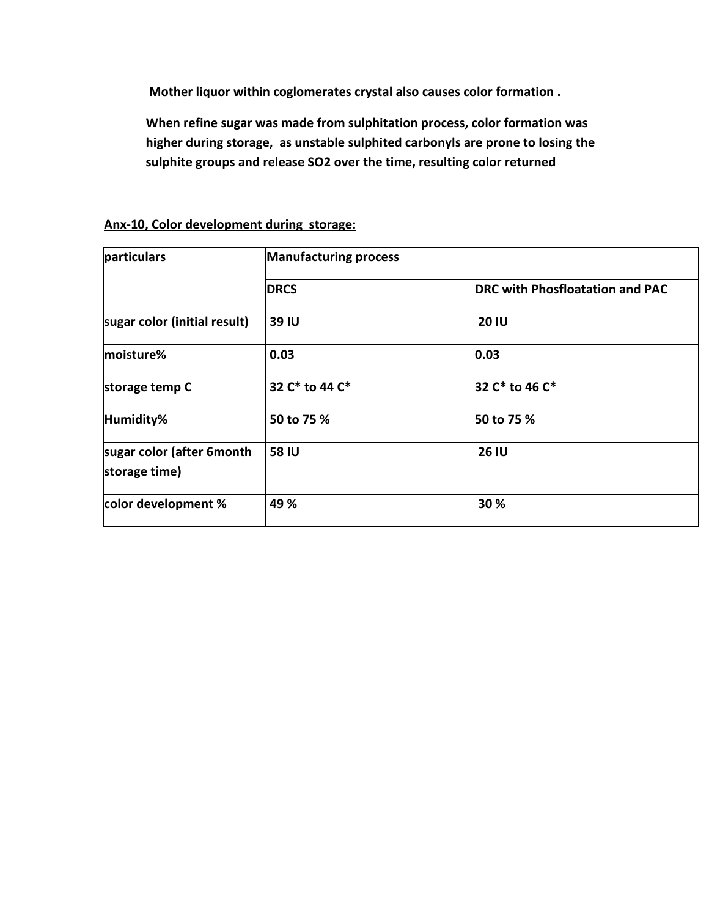**Mother liquor within coglomerates crystal also causes color formation .**

**When refine sugar was made from sulphitation process, color formation was higher during storage, as unstable sulphited carbonyls are prone to losing the sulphite groups and release SO2 over the time, resulting color returned** 

| particulars                                | <b>Manufacturing process</b> |                                        |  |  |  |
|--------------------------------------------|------------------------------|----------------------------------------|--|--|--|
|                                            | <b>DRCS</b>                  | <b>DRC with Phosfloatation and PAC</b> |  |  |  |
| sugar color (initial result)               | 39 IU                        | <b>20 IU</b>                           |  |  |  |
| moisture%                                  | 0.03                         | 0.03                                   |  |  |  |
| storage temp C                             | 32 C* to 44 C*               | 32 C* to 46 C*                         |  |  |  |
| Humidity%                                  | 50 to 75 %                   | 50 to 75 %                             |  |  |  |
| sugar color (after 6month<br>storage time) | <b>58 IU</b>                 | <b>26 IU</b>                           |  |  |  |
| color development %                        | 49 %                         | 30 %                                   |  |  |  |

### **Anx-10, Color development during storage:**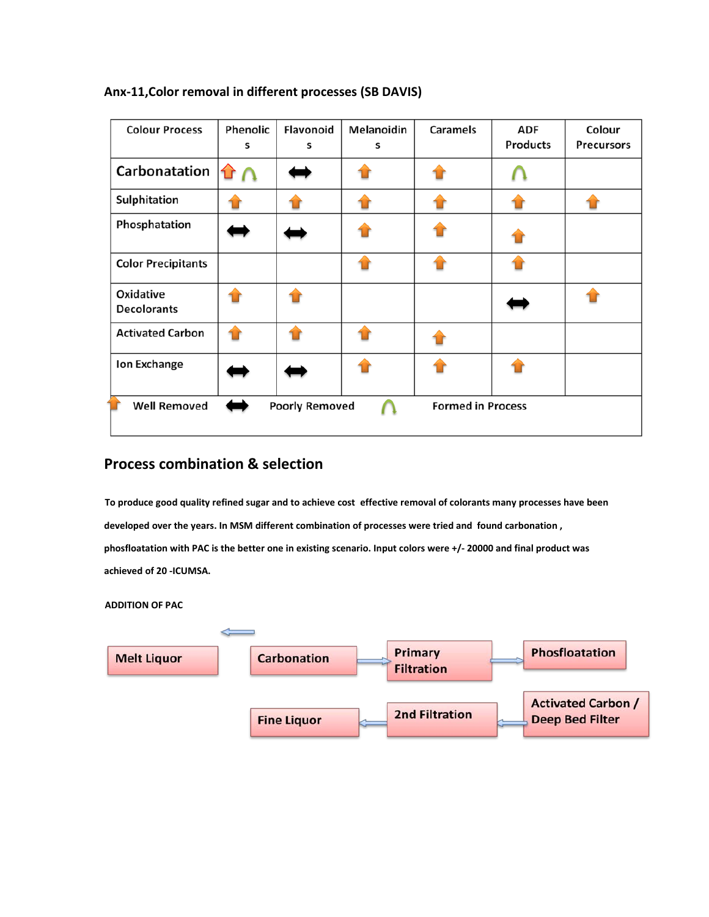| <b>Colour Process</b>                                                    | Phenolic<br>s | Flavonoid<br>s | Melanoidin<br>s | <b>Caramels</b> | <b>ADF</b><br><b>Products</b> | Colour<br><b>Precursors</b> |
|--------------------------------------------------------------------------|---------------|----------------|-----------------|-----------------|-------------------------------|-----------------------------|
| Carbonatation                                                            |               |                |                 |                 |                               |                             |
| Sulphitation                                                             |               |                |                 |                 |                               |                             |
| Phosphatation                                                            |               |                |                 |                 |                               |                             |
| <b>Color Precipitants</b>                                                |               |                |                 |                 |                               |                             |
| Oxidative<br><b>Decolorants</b>                                          |               |                |                 |                 |                               |                             |
| <b>Activated Carbon</b>                                                  |               |                |                 |                 |                               |                             |
| Ion Exchange                                                             |               |                |                 |                 |                               |                             |
| <b>Well Removed</b><br><b>Formed in Process</b><br><b>Poorly Removed</b> |               |                |                 |                 |                               |                             |

## **Anx-11,Color removal in different processes (SB DAVIS)**

# **Process combination & selection**

**To produce good quality refined sugar and to achieve cost effective removal of colorants many processes have been developed over the years. In MSM different combination of processes were tried and found carbonation , phosfloatation with PAC is the better one in existing scenario. Input colors were +/- 20000 and final product was achieved of 20 -ICUMSA.** 

#### **ADDITION OF PAC**

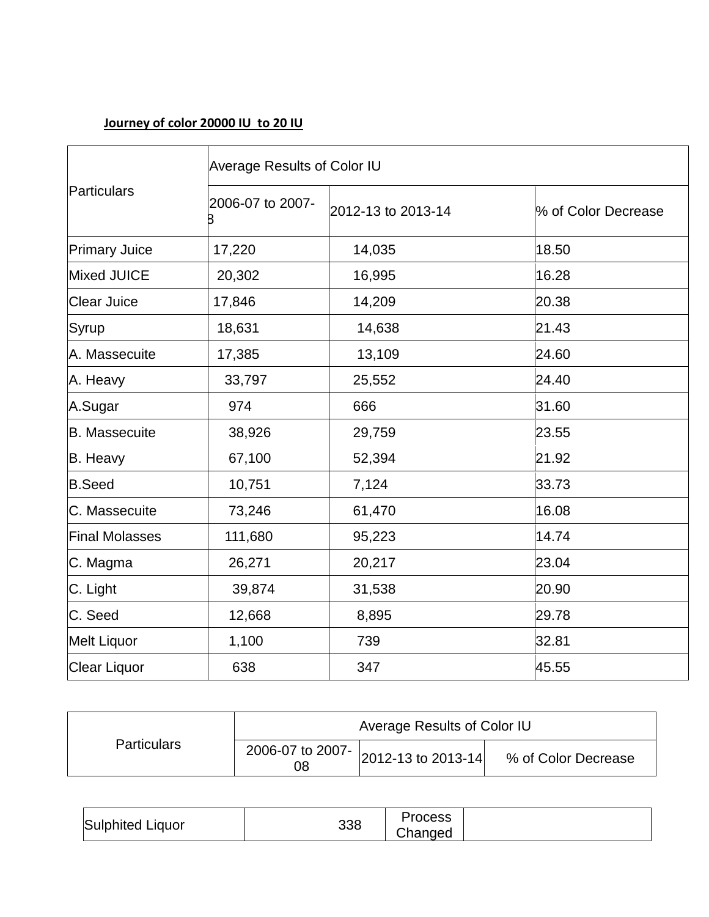# **Journey of color 20000 IU to 20 IU**

|                       | <b>Average Results of Color IU</b> |                    |                     |  |  |  |
|-----------------------|------------------------------------|--------------------|---------------------|--|--|--|
| Particulars           | 2006-07 to 2007-<br>B              | 2012-13 to 2013-14 | % of Color Decrease |  |  |  |
| <b>Primary Juice</b>  | 17,220                             | 14,035             | 18.50               |  |  |  |
| Mixed JUICE           | 20,302                             | 16,995             | 16.28               |  |  |  |
| <b>Clear Juice</b>    | 17,846                             | 14,209             | 20.38               |  |  |  |
| Syrup                 | 18,631                             | 14,638             | 21.43               |  |  |  |
| A. Massecuite         | 17,385                             | 13,109             | 24.60               |  |  |  |
| A. Heavy              | 33,797                             | 25,552             | 24.40               |  |  |  |
| A.Sugar               | 974                                | 666                | 31.60               |  |  |  |
| <b>B.</b> Massecuite  | 38,926                             | 29,759             | 23.55               |  |  |  |
| B. Heavy              | 67,100                             | 52,394             | 21.92               |  |  |  |
| <b>B.Seed</b>         | 10,751                             | 7,124              | 33.73               |  |  |  |
| C. Massecuite         | 73,246                             | 61,470             | 16.08               |  |  |  |
| <b>Final Molasses</b> | 111,680                            | 95,223             | 14.74               |  |  |  |
| C. Magma              | 26,271                             | 20,217             | 23.04               |  |  |  |
| C. Light              | 39,874                             | 31,538             | 20.90               |  |  |  |
| C. Seed               | 12,668                             | 8,895              | 29.78               |  |  |  |
| <b>Melt Liquor</b>    | 1,100                              | 739                | 32.81               |  |  |  |
| Clear Liquor          | 638                                | 347                | 45.55               |  |  |  |

|                    | Average Results of Color IU |                                                     |                     |  |
|--------------------|-----------------------------|-----------------------------------------------------|---------------------|--|
| <b>Particulars</b> | 08                          | 2006-07 to 2007- $\vert$ 2012-13 to 2013-14 $\vert$ | % of Color Decrease |  |

| Sulphited.<br>Liquor | ລລ<br>ააი | ວcess<br>∩ലി<br>ו שוי |  |
|----------------------|-----------|-----------------------|--|
|----------------------|-----------|-----------------------|--|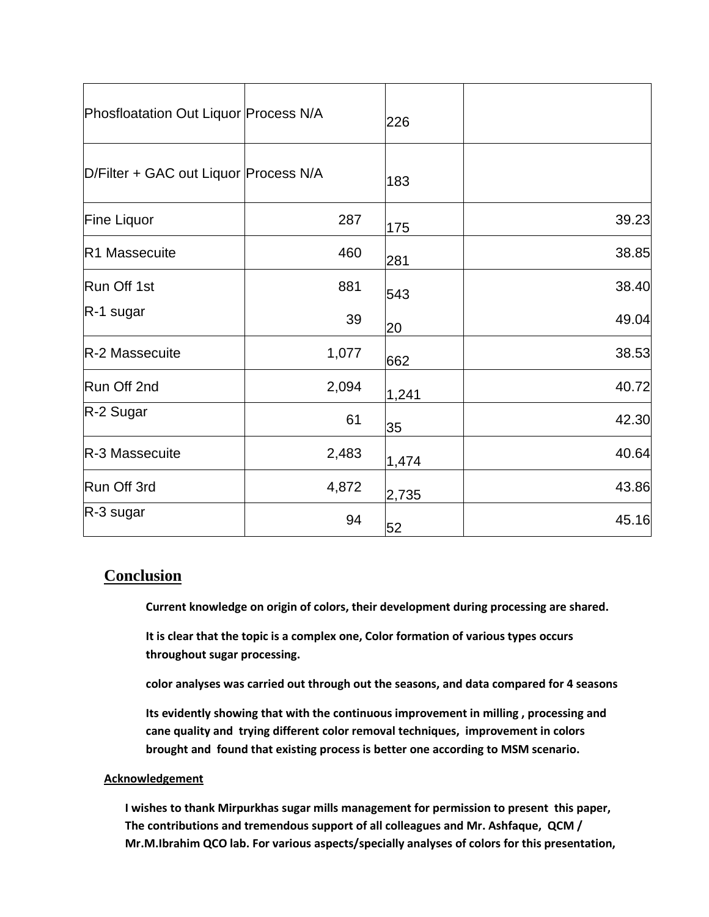| Phosfloatation Out Liquor Process N/A |       | 226   |       |
|---------------------------------------|-------|-------|-------|
| D/Filter + GAC out Liquor Process N/A |       | 183   |       |
| Fine Liquor                           | 287   | 175   | 39.23 |
| <b>R1 Massecuite</b>                  | 460   | 281   | 38.85 |
| Run Off 1st                           | 881   | 543   | 38.40 |
| $R-1$ sugar                           | 39    | 20    | 49.04 |
| R-2 Massecuite                        | 1,077 | 662   | 38.53 |
| Run Off 2nd                           | 2,094 | 1,241 | 40.72 |
| R-2 Sugar                             | 61    | 35    | 42.30 |
| R-3 Massecuite                        | 2,483 | 1,474 | 40.64 |
| Run Off 3rd                           | 4,872 | 2,735 | 43.86 |
| R-3 sugar                             | 94    | 52    | 45.16 |

# **Conclusion**

**Current knowledge on origin of colors, their development during processing are shared.** 

**It is clear that the topic is a complex one, Color formation of various types occurs throughout sugar processing.** 

**color analyses was carried out through out the seasons, and data compared for 4 seasons**

**Its evidently showing that with the continuous improvement in milling , processing and cane quality and trying different color removal techniques, improvement in colors brought and found that existing process is better one according to MSM scenario.**

### **Acknowledgement**

**I wishes to thank Mirpurkhas sugar mills management for permission to present this paper, The contributions and tremendous support of all colleagues and Mr. Ashfaque, QCM / Mr.M.Ibrahim QCO lab. For various aspects/specially analyses of colors for this presentation,**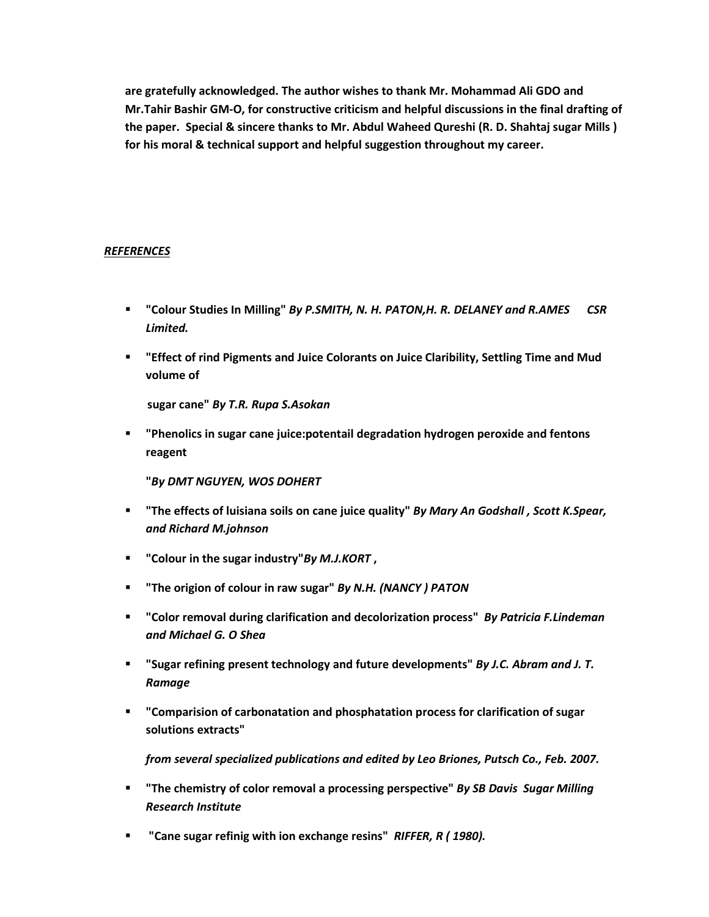**are gratefully acknowledged. The author wishes to thank Mr. Mohammad Ali GDO and Mr.Tahir Bashir GM-O, for constructive criticism and helpful discussions in the final drafting of the paper. Special & sincere thanks to Mr. Abdul Waheed Qureshi (R. D. Shahtaj sugar Mills ) for his moral & technical support and helpful suggestion throughout my career.**

### *REFERENCES*

- **"Colour Studies In Milling"** *By P.SMITH, N. H. PATON,H. R. DELANEY and R.AMES CSR Limited.*
- **"Effect of rind Pigments and Juice Colorants on Juice Claribility, Settling Time and Mud volume of**

 **sugar cane"** *By T.R. Rupa S.Asokan*

 **"Phenolics in sugar cane juice:potentail degradation hydrogen peroxide and fentons reagent** 

 **"***By DMT NGUYEN, WOS DOHERT* 

- **"The effects of luisiana soils on cane juice quality"** *By Mary An Godshall , Scott K.Spear, and Richard M.johnson*
- **"Colour in the sugar industry"***By M.J.KORT* **,**
- **"The origion of colour in raw sugar"** *By N.H. (NANCY ) PATON*
- **"Color removal during clarification and decolorization process"** *By Patricia F.Lindeman and Michael G. O Shea*
- **"Sugar refining present technology and future developments"** *By J.C. Abram and J. T. Ramage*
- **"Comparision of carbonatation and phosphatation process for clarification of sugar solutions extracts"**

*from several specialized publications and edited by Leo Briones, Putsch Co., Feb. 2007.*

- **"The chemistry of color removal a processing perspective"** *By SB Davis Sugar Milling Research Institute*
- **"Cane sugar refinig with ion exchange resins"** *RIFFER, R ( 1980).*